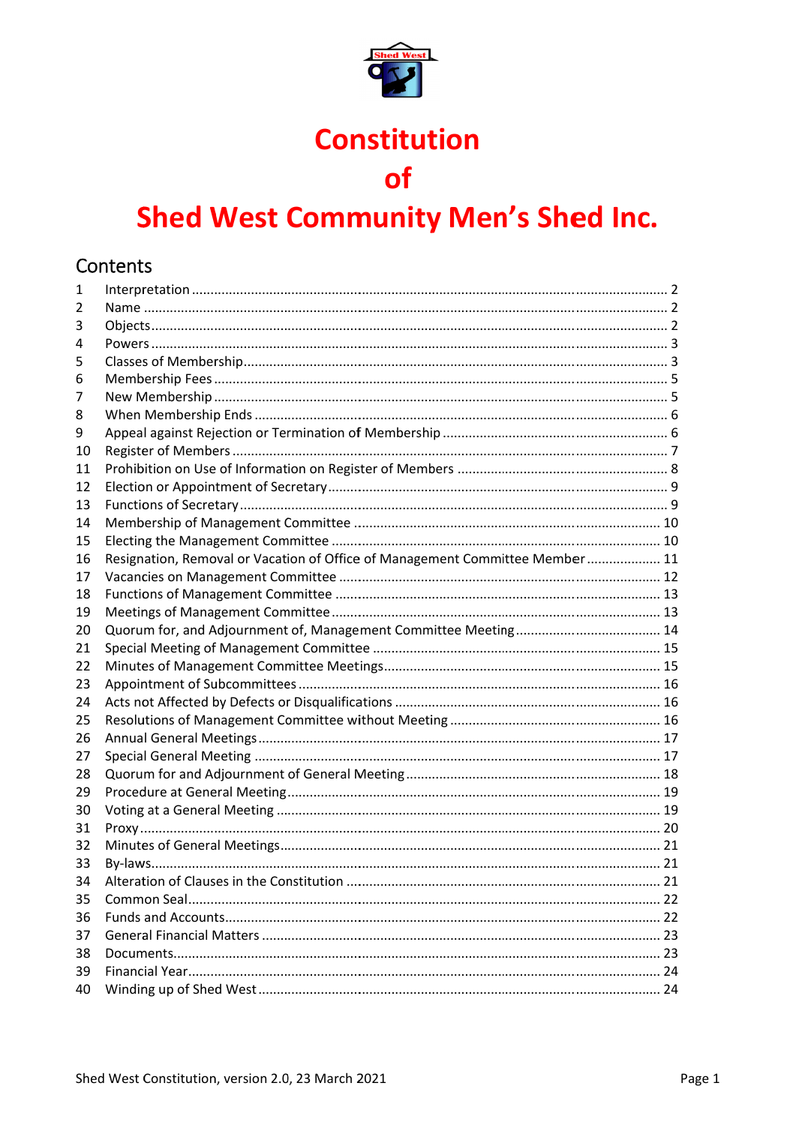

# **Constitution**

# **of**

# Shed West Community Men's Shed Inc.

## Contents

| 1  |                                                                               |  |
|----|-------------------------------------------------------------------------------|--|
| 2  |                                                                               |  |
| 3  |                                                                               |  |
| 4  |                                                                               |  |
| 5  |                                                                               |  |
| 6  |                                                                               |  |
| 7  |                                                                               |  |
| 8  |                                                                               |  |
| 9  |                                                                               |  |
| 10 |                                                                               |  |
| 11 |                                                                               |  |
| 12 |                                                                               |  |
| 13 |                                                                               |  |
| 14 |                                                                               |  |
| 15 |                                                                               |  |
| 16 | Resignation, Removal or Vacation of Office of Management Committee Member  11 |  |
| 17 |                                                                               |  |
| 18 |                                                                               |  |
| 19 |                                                                               |  |
| 20 |                                                                               |  |
| 21 |                                                                               |  |
| 22 |                                                                               |  |
| 23 |                                                                               |  |
| 24 |                                                                               |  |
| 25 |                                                                               |  |
| 26 |                                                                               |  |
| 27 |                                                                               |  |
| 28 |                                                                               |  |
| 29 |                                                                               |  |
| 30 |                                                                               |  |
| 31 |                                                                               |  |
| 32 |                                                                               |  |
| 33 |                                                                               |  |
| 34 |                                                                               |  |
| 35 |                                                                               |  |
| 36 |                                                                               |  |
| 37 |                                                                               |  |
| 38 |                                                                               |  |
| 39 |                                                                               |  |
| 40 |                                                                               |  |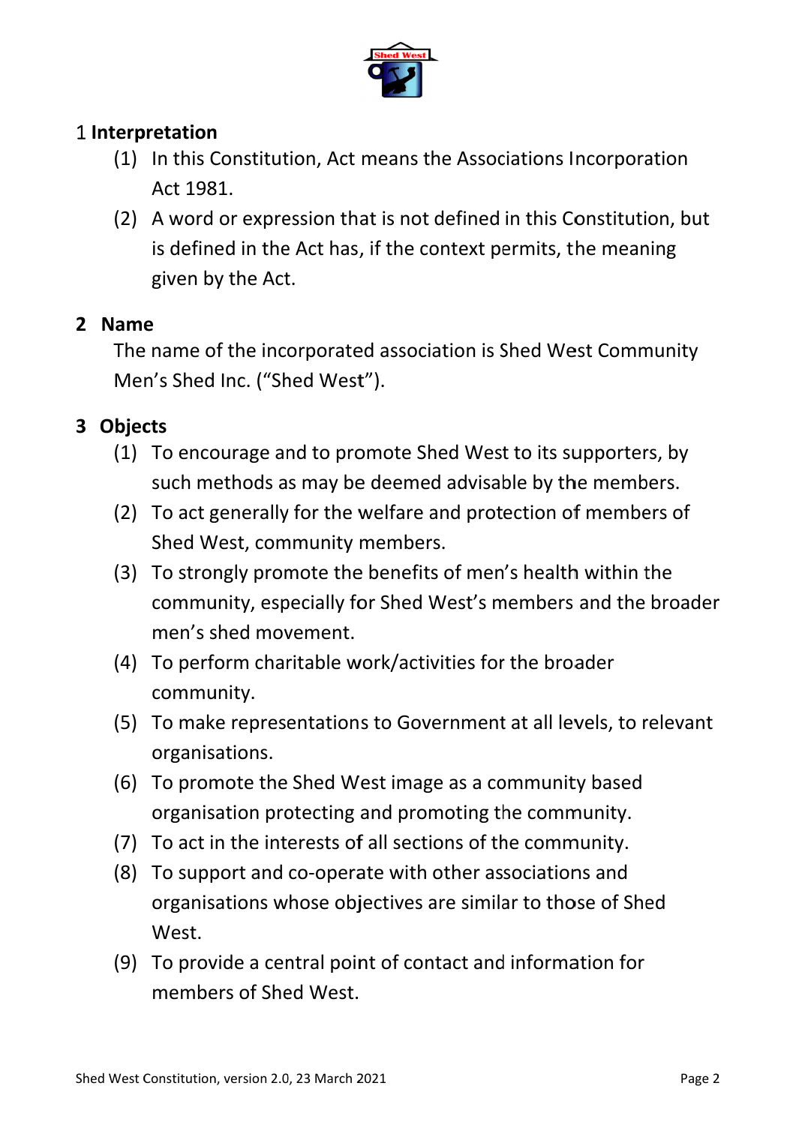

# 1 Interpretation

- (1) In this Constitution, Act means the Associations Incorporation Act 1981.
- (2) A word or expression that is not defined in this Constitution, but is defined in the Act has, if the context permits, the meaning given by the Act.

#### 2 Name

The name of the incorporated association is Shed West Community Men's Shed Inc. ("Shed West").

# 3 Objects

- (1) To encourage and to promote Shed West to its supporters, by such methods as may be deemed advisable by the members.
- (2) To act generally for the welfare and protection of members of Shed West, community members.
- (3) To strongly promote the benefits of men's health within the community, especially for Shed West's members and the broader men's shed movement.
- (4) To perform charitable work/activities for the broader community.
- (5) To make representations to Government at all levels, to relevant organisations.
- (6) To promote the Shed West image as a community based organisation protecting and promoting the community.
- (7) To act in the interests of all sections of the community.
- (8) To support and co-operate with other associations and organisations whose objectives are similar to those of Shed West.
- (9) To provide a central point of contact and information for members of Shed West.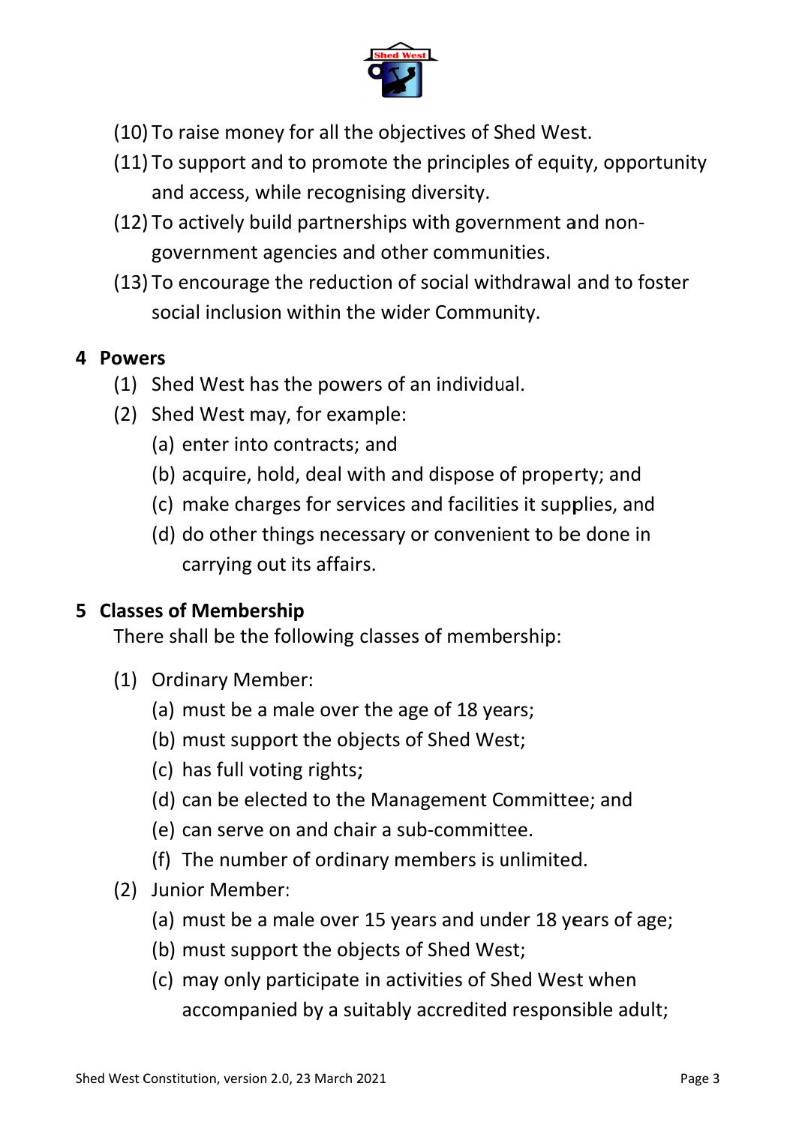

- (10) To raise money for all the objectives of Shed West.
- (11) To support and to promote the principles of equity, opportunity and access, while recognising diversity.
- (12) To actively build partnerships with government and nongovernment agencies and other communities.
- (13) To encourage the reduction of social withdrawal and to foster social inclusion within the wider Community.

#### 4 Powers

- (1) Shed West has the powers of an individual.
- (2) Shed West may, for example:
	- (a) enter into contracts; and
	- (b) acquire, hold, deal with and dispose of property; and
	- (c) make charges for services and facilities it supplies, and
	- (d) do other things necessary or convenient to be done in carrying out its affairs.

#### 5 Classes of Membership

There shall be the following classes of membership:

- (1) Ordinary Member:
	- (a) must be a male over the age of 18 years;
	- (b) must support the objects of Shed West;
	- (c) has full voting rights;
	- (d) can be elected to the Management Committee; and
	- (e) can serve on and chair a sub-committee.
	- (f) The number of ordinary members is unlimited.
- (2) Junior Member:
	- (a) must be a male over 15 years and under 18 years of age;
	- (b) must support the objects of Shed West;
	- (c) may only participate in activities of Shed West when accompanied by a suitably accredited responsible adult;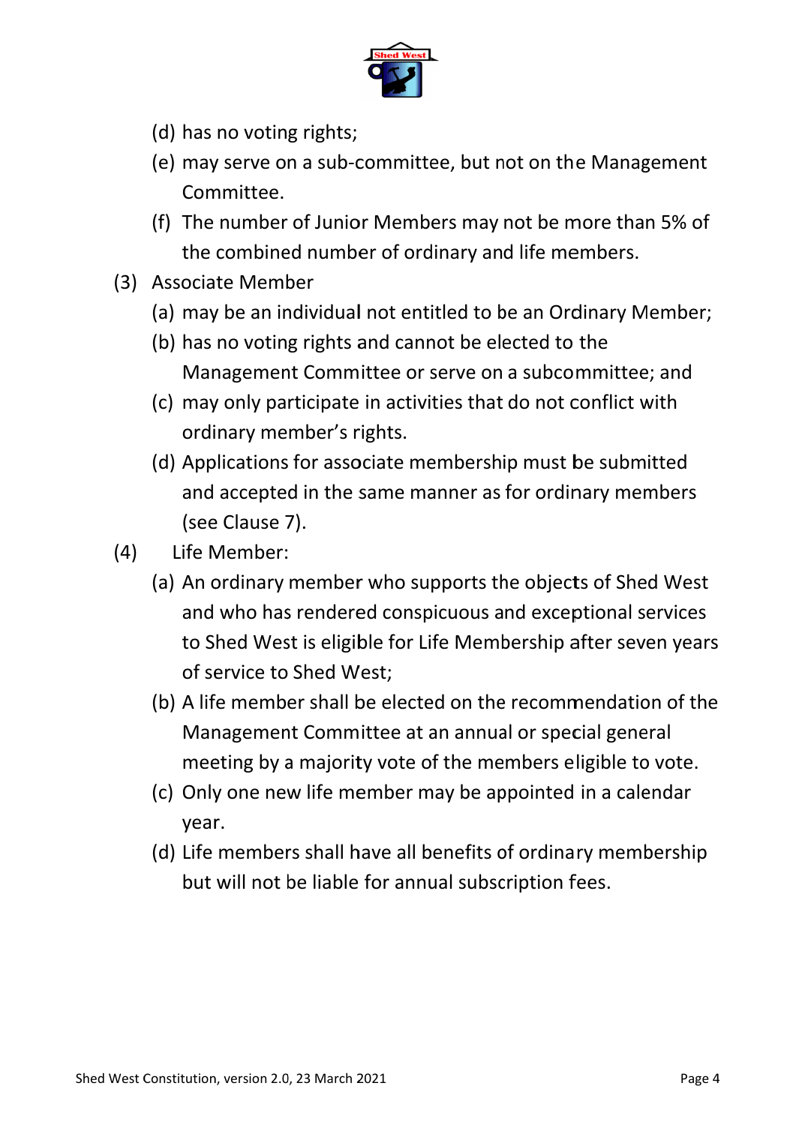

- (d) has no voting rights;
- (e) may serve on a sub-committee, but not on the Management Committee.
- (f) The number of Junior Members may not be more than 5% of the combined number of ordinary and life members.
- (3) Associate Member
	- (a) may be an individual not entitled to be an Ordinary Member;
	- (b) has no voting rights and cannot be elected to the Management Committee or serve on a subcommittee; and
	- (c) may only participate in activities that do not conflict with ordinary member's rights.
	- (d) Applications for associate membership must be submitted and accepted in the same manner as for ordinary members (see Clause 7).
- Life Member:  $(4)$ 
	- (a) An ordinary member who supports the objects of Shed West and who has rendered conspicuous and exceptional services to Shed West is eligible for Life Membership after seven years of service to Shed West:
	- (b) A life member shall be elected on the recommendation of the Management Committee at an annual or special general meeting by a majority vote of the members eligible to vote.
	- (c) Only one new life member may be appointed in a calendar vear.
	- (d) Life members shall have all benefits of ordinary membership but will not be liable for annual subscription fees.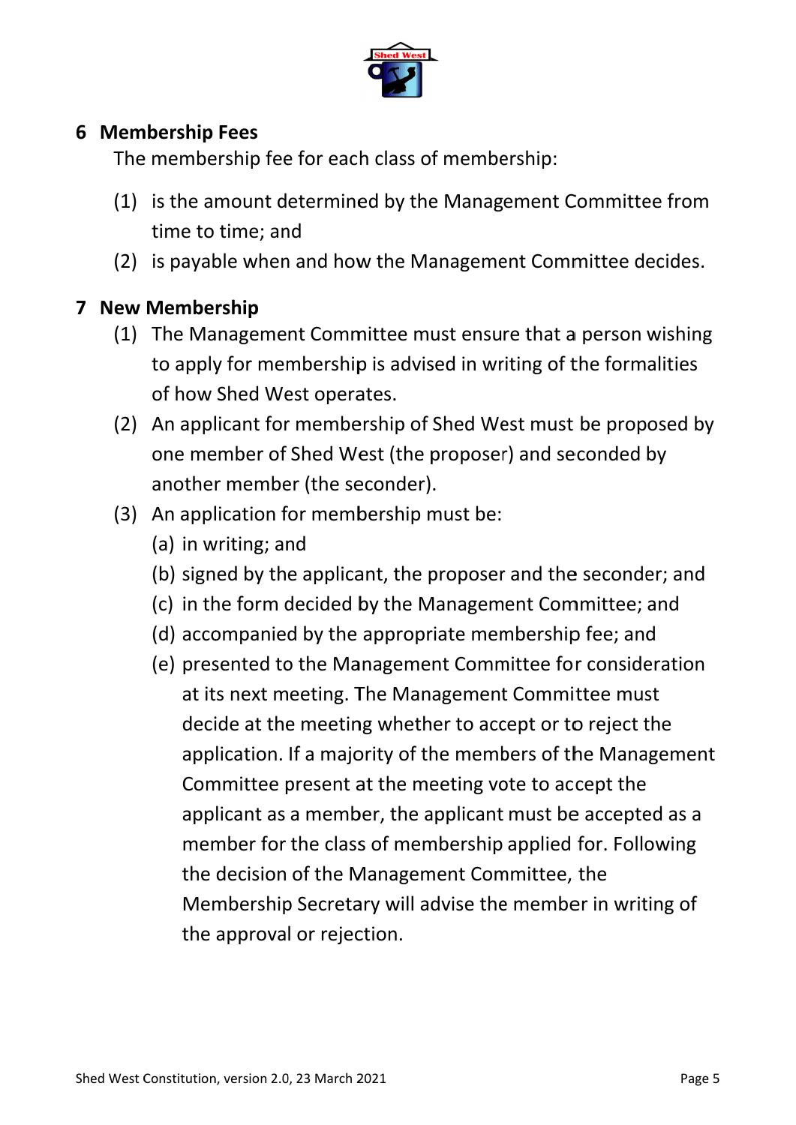

#### **6** Membership Fees

The membership fee for each class of membership:

- (1) is the amount determined by the Management Committee from time to time; and
- (2) is payable when and how the Management Committee decides.

#### 7 New Membership

- (1) The Management Committee must ensure that a person wishing to apply for membership is advised in writing of the formalities of how Shed West operates.
- (2) An applicant for membership of Shed West must be proposed by one member of Shed West (the proposer) and seconded by another member (the seconder).
- (3) An application for membership must be:
	- (a) in writing; and
	- (b) signed by the applicant, the proposer and the seconder; and
	- (c) in the form decided by the Management Committee; and
	- (d) accompanied by the appropriate membership fee; and
	- (e) presented to the Management Committee for consideration at its next meeting. The Management Committee must decide at the meeting whether to accept or to reject the application. If a majority of the members of the Management Committee present at the meeting vote to accept the applicant as a member, the applicant must be accepted as a member for the class of membership applied for. Following the decision of the Management Committee, the Membership Secretary will advise the member in writing of the approval or rejection.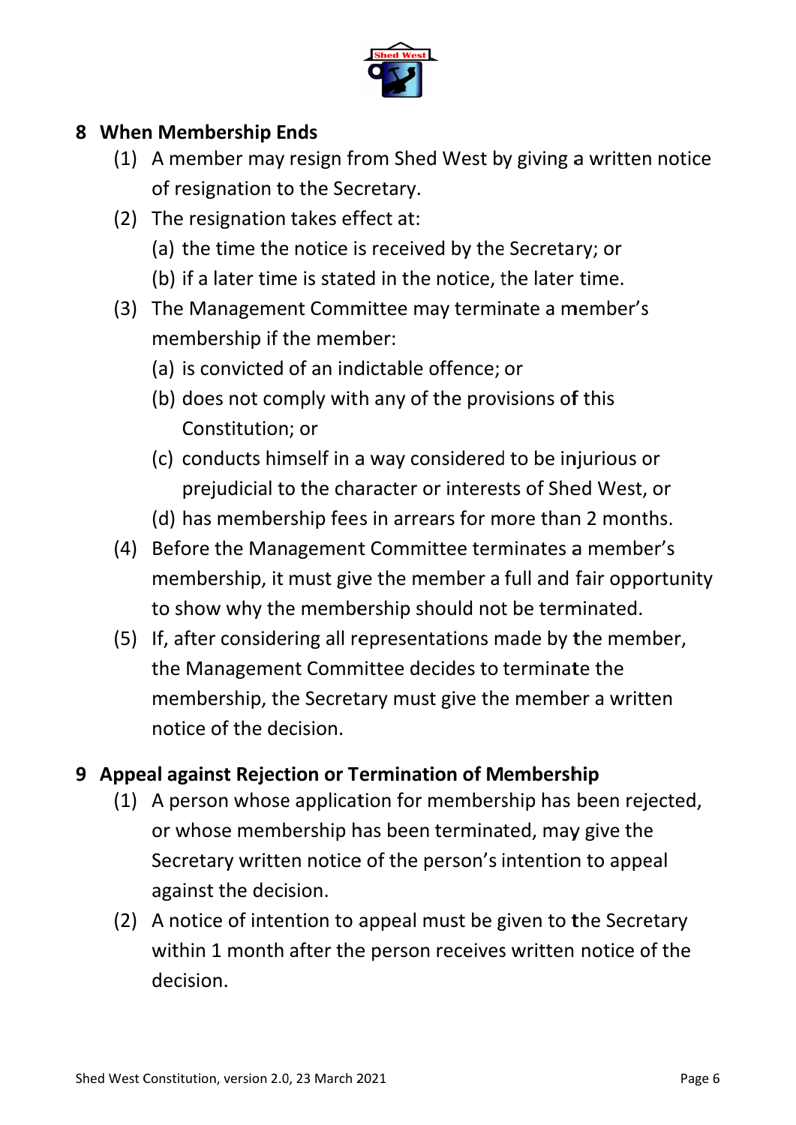

# **8 When n Memb ership E nds**

- (1) A member may resign from Shed West by giving a written notice of resignation to the Secretary.
- (2) The resignation takes effect at:
	- (a) the time the notice is received by the Secretary; or
	- (b) if a later time is stated in the notice, the later time.
- (3) The Management Committee may terminate a member's membership if the member: s<br>or
	- (a) is convicted of an indictable offence; or
	- (b) does not comply with any of the provisions of this Con stitution ; or
	- (c) conducts himself in a way considered to be injurious o prejudicial to the character or interests of Shed West, or
	- (d) has membership fees in arrears for more than 2 months.
- (4) Before the Management Committee terminates a member's membership, it must give the member a full and fair opportunity to show why the membership should not be terminated.
- (5) If, after considering all representations made by the member, the Management Committee decides to terminate the membership, the Secretary must give the member a written notice of the decision.

#### **9** Appeal against Rejection or Termination of Membership

- (1) A person whose application for membership has been rejected, or whose membership has been terminated, may give the or whose membership has been terminated, may give the<br>Secretary written notice of the person's intention to appeal against the deci sion.
- (2) A notice of intention to appeal must be given to the Secretary within 1 month after the person receives written notice of the decision.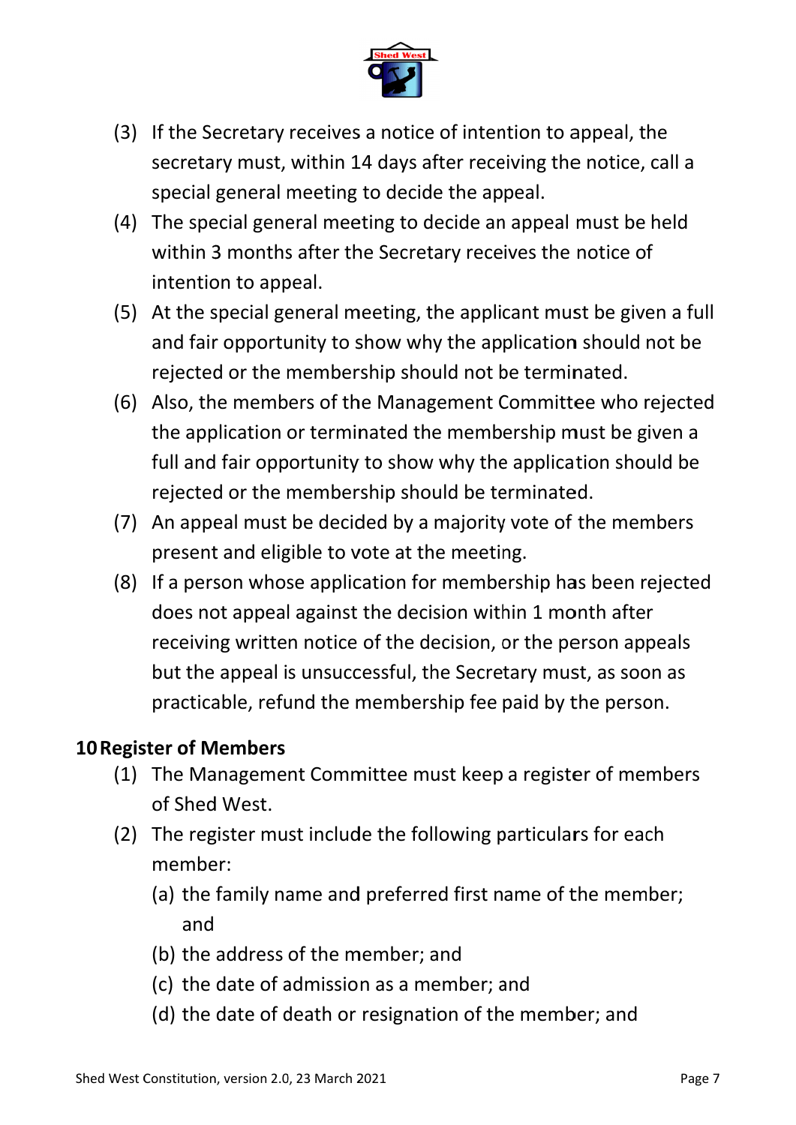

- (3) If the Secretary receives a notice of intention to appeal, the secretary must, within 14 days after receiving the notice, call a special general meeting to decide the appeal.
- (4) The special general meeting to decide an appeal must be held within 3 months after the Secretary receives the notice of intention to appeal.
- (5) At the special general meeting, the applicant must be given a full and fair opportunity to show why the application should not be rejected or the membership should not be terminated.
- (6) Also, the members of the Management Committee who rejected the application or terminated the membership must be given a full and fair opportunity to show why the application should be rejected or the membership should be terminated.
- (7) An appeal must be decided by a majority vote of the members present and eligible to vote at the meeting.
- (8) If a person whose application for membership has been rejected does not appeal against the decision within 1 month after receiving written notice of the decision, or the person appeals but the appeal is unsuccessful, the Secretary must, as soon as practicable, refund the membership fee paid by the person.

#### **10 Register of Members**

- (1) The Management Committee must keep a register of members of Shed d West.
- (2) The register must include the following particulars for each member:
	- (a) the family name and preferred first name of the member; and
	- (b) the address of the member; and
	- (c) the date of admission as a member; and
	- (d) the date of death or resignation of the member; and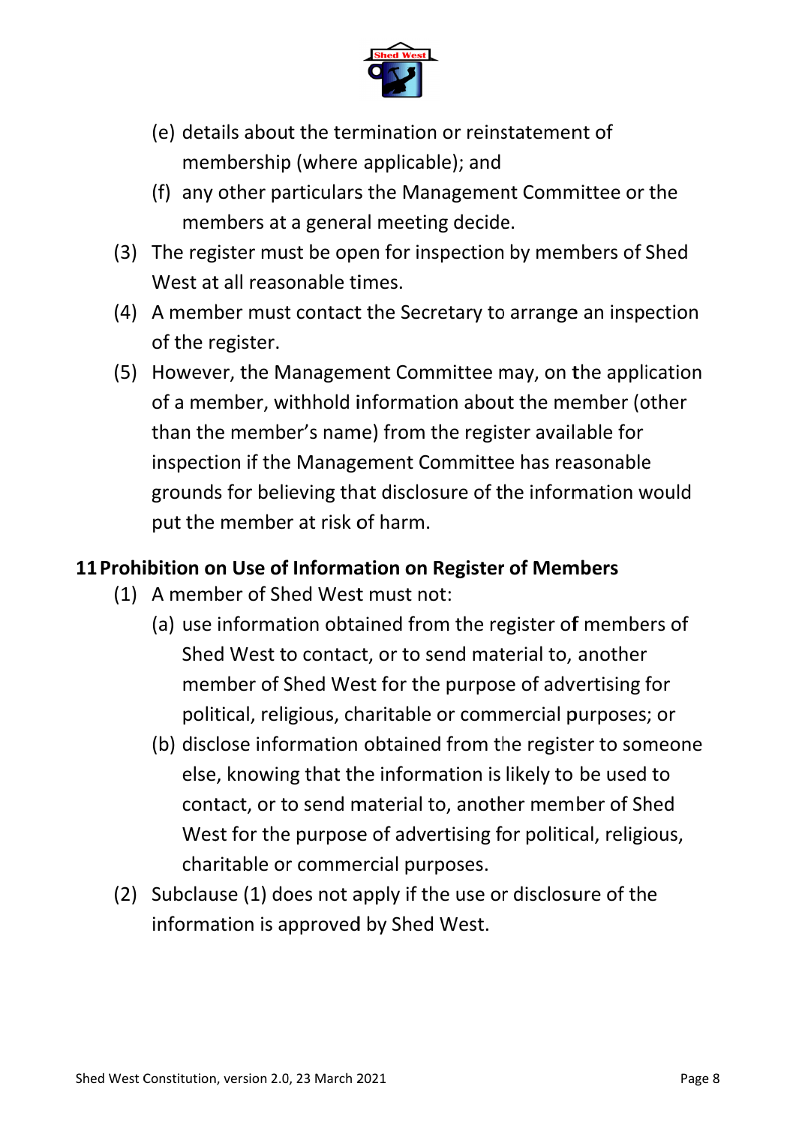

- (e) details about the termination or reinstatement of membership (where applicable); and
- (f) any other particulars the Management Committee or the members at a general meeting decide.
- (3) The register must be open for inspection by members of Shed West at all reasonable times.
- (4) A member must contact the Secretary to arrange an inspection of the register.
- (5) However, the Management Committee may, on the application of a member, withhold information about the member (other than the member's name) from the register available for inspection if the Management Committee has reasonable grounds for believing that disclosure of the information would put the member at risk of harm.

#### 11 Prohibition on Use of Information on Register of Members

- (1) A member of Shed West must not:
	- (a) use information obtained from the register of members of Shed West to contact, or to send material to, another member of Shed West for the purpose of advertising for political, religious, charitable or commercial purposes; or
	- (b) disclose information obtained from the register to someone else, knowing that the information is likely to be used to contact, or to send material to, another member of Shed West for the purpose of advertising for political, religious, charitable or commercial purposes.
- (2) Subclause (1) does not apply if the use or disclosure of the information is approved by Shed West.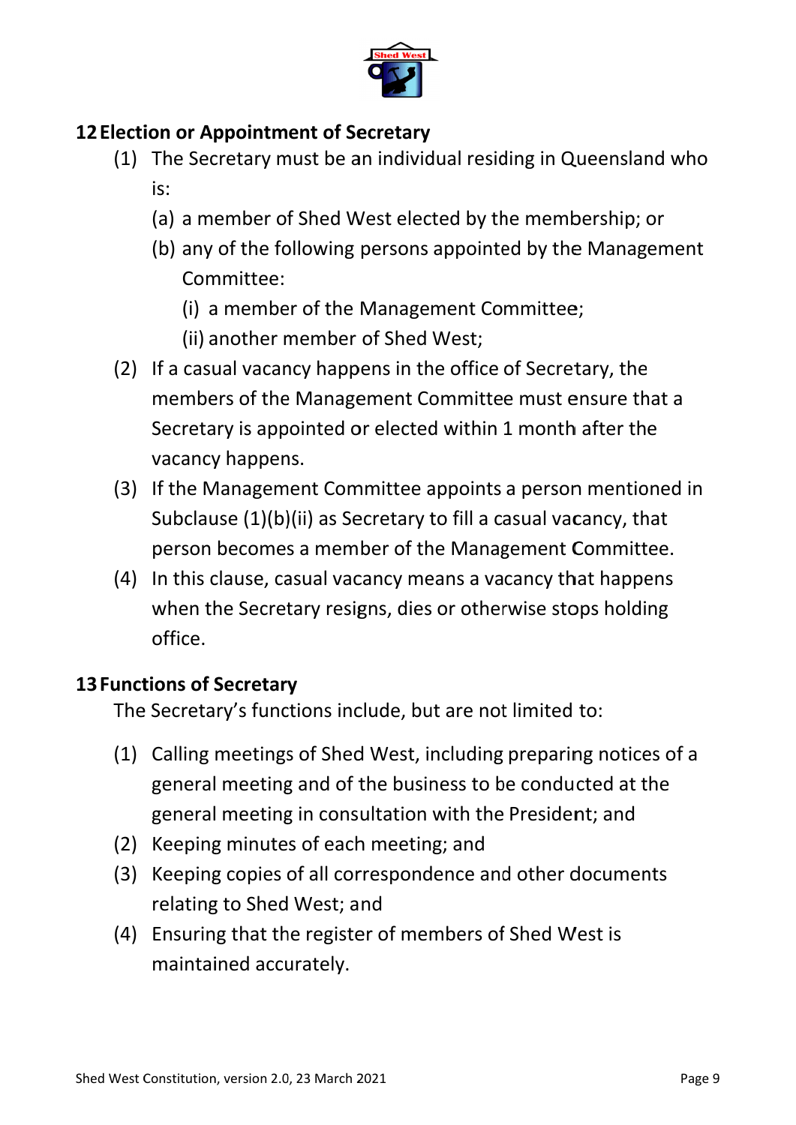

# 12 Election or Appointment of Secretary

- (1) The Secretary must be an individual residing in Queensland who is:
	- (a) a member of Shed West elected by the membership; or
	- (b) any of the following persons appointed by the Management Committee:
		- (i) a member of the Management Committee;
		- (ii) another member of Shed West;
- (2) If a casual vacancy happens in the office of Secretary, the members of the Management Committee must ensure that a Secretary is appointed or elected within 1 month after the vacancy happens.
- (3) If the Management Committee appoints a person mentioned in Subclause (1)(b)(ii) as Secretary to fill a casual vacancy, that person becomes a member of the Management Committee.
- (4) In this clause, casual vacancy means a vacancy that happens when the Secretary resigns, dies or otherwise stops holding office

#### **13 Functions of Secretary**

The Secretary's functions include, but are not limited to:

- (1) Calling meetings of Shed West, including preparing notices of a general meeting and of the business to be conducted at the general meeting in consultation with the President; and
- (2) Keeping minutes of each meeting; and
- (3) Keeping copies of all correspondence and other documents relating to Shed West; and
- (4) Ensuring that the register of members of Shed West is maintained accurately.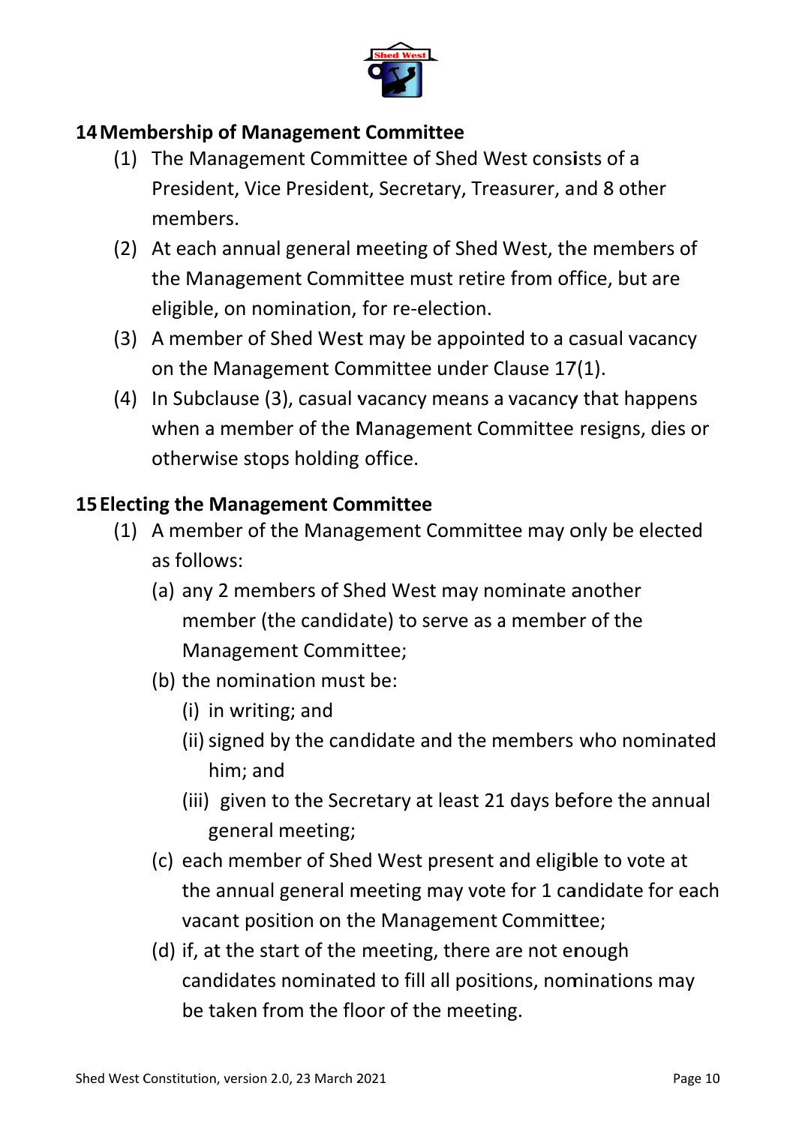

#### 14 Membership of Management Committee

- (1) The Management Committee of Shed West consists of a President, Vice President, Secretary, Treasurer, and 8 other members.
- (2) At each annual general meeting of Shed West, the members of the Management Committee must retire from office, but are eligible, on nomination, for re-election.
- (3) A member of Shed West may be appointed to a casual vacancy on the Management Committee under Clause 17(1).
- (4) In Subclause (3), casual vacancy means a vacancy that happens when a member of the Management Committee resigns, dies or otherwise stops holding office.

#### **15 Electing the Management Committee**

- (1) A member of the Management Committee may only be elected as follows:
	- (a) any 2 members of Shed West may nominate another member (the candidate) to serve as a member of the **Management Committee:**
	- (b) the nomination must be:
		- (i) in writing; and
		- (ii) signed by the candidate and the members who nominated him; and
		- (iii) given to the Secretary at least 21 days before the annual general meeting;
	- (c) each member of Shed West present and eligible to vote at the annual general meeting may vote for 1 candidate for each vacant position on the Management Committee;
	- (d) if, at the start of the meeting, there are not enough candidates nominated to fill all positions, nominations may be taken from the floor of the meeting.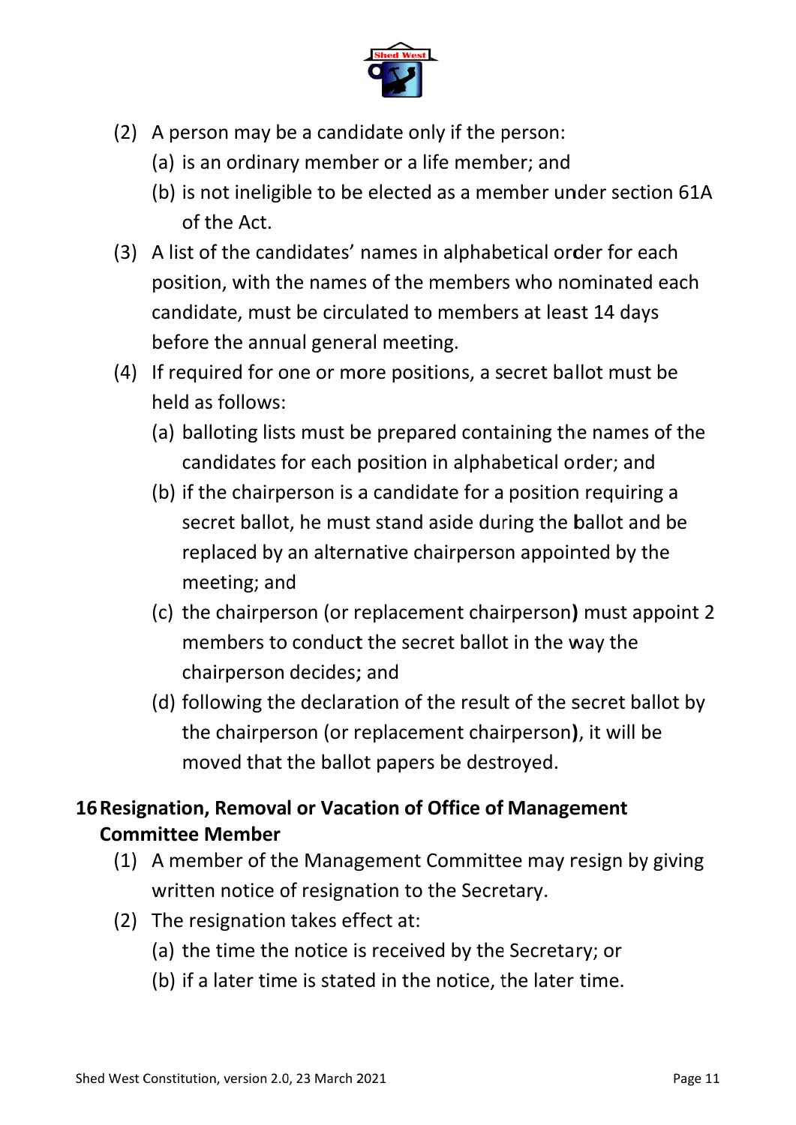

- (2) A person may be a candidate only if the person:
	- (a) is an ordinary member or a life member; and
	- (b) is not ineligible to be elected as a member under section 61A of th he Act.
- (3) A list of the candidates' names in alphabetical order for each position, with the names of the members who nominated each candidate, must be circulated to members at least 14 days before the annual general meeting.
- (4) If required for one or more positions, a secret ballot must be held as follows:
	- (a) balloting lists must be prepared containing the names of the candidates for each position in alphabetical order; and
	- candidates for each position in alphabetical order; and<br>(b) if the chairperson is a candidate for a position requiring a secret ballot, he must stand aside during the ballot and be replaced by an alternative chairperson appointed by the meeting; and
	- (c) the chairper son (or r replacem ment chai rperson) ) must ap ppoint 2 members to conduct the secret ballot in the way the chairperson decides; and
	- (d) following the declaration of the result of the secret ballot by the chairperson (or replacement chairperson), it will be moved that the ballot papers be destroyed.

# 16 Resignation, Removal or Vacation of Office of Management **Comm mittee M Member**

- (1) A member of the Management Committee may resign by giving written notice of resignation to the Secretary.
- (2) The resignation takes effect at:
	- (a) the time the notice is received by the Secretary; or
	- (b) if a later time is stated in the notice, the later time.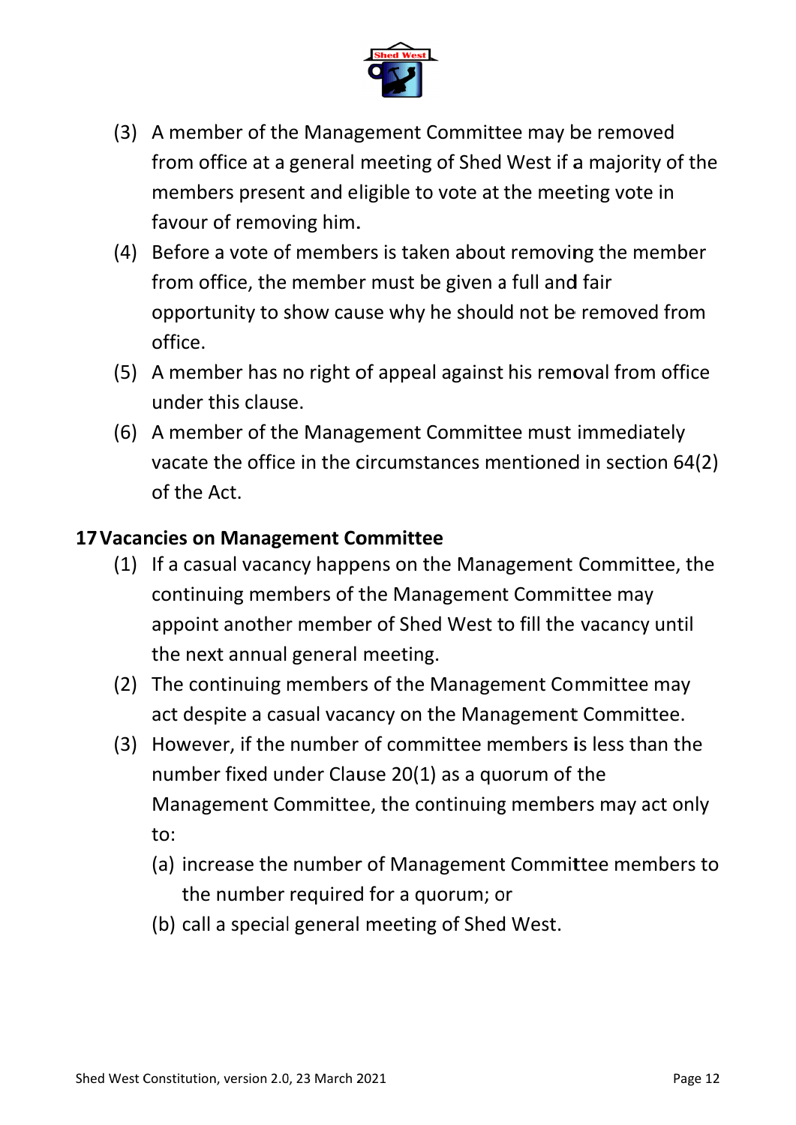

- (3) A member of the Management Committee may be removed from office at a general meeting of Shed West if a majority of the members present and eligible to vote at the meeting vote in favour of removing him.
- (4) Before a vote of members is taken about removing the member from office, the member must be given a full and fair opportunity to show cause why he should not be removed from office.
- (5) A member has no right of appeal against his removal from office under t his claus e.
- (6) A member of the Management Committee must immediately vacate the office in the circumstances mentioned in section 64(2) of the A Act.

## 17 Vacancies on Management Committee

- (1) If a casual vacancy happens on the Management Committee, the continuing members of the Management Committee may appoint another member of Shed West to fill the vacancy until the next annual general meeting.
- (2) The continuing members of the Management Committee may act despite a casual vacancy on the Management Committee.
- (3) However, if the number of committee members is less than the number fixed under Clause 20(1) as a quorum of the Management Committee, the continuing members may act only to:
	- (a) increase the number of Management Committee members to the number required for a quorum; or
	- (b) call a special general meeting of Shed West.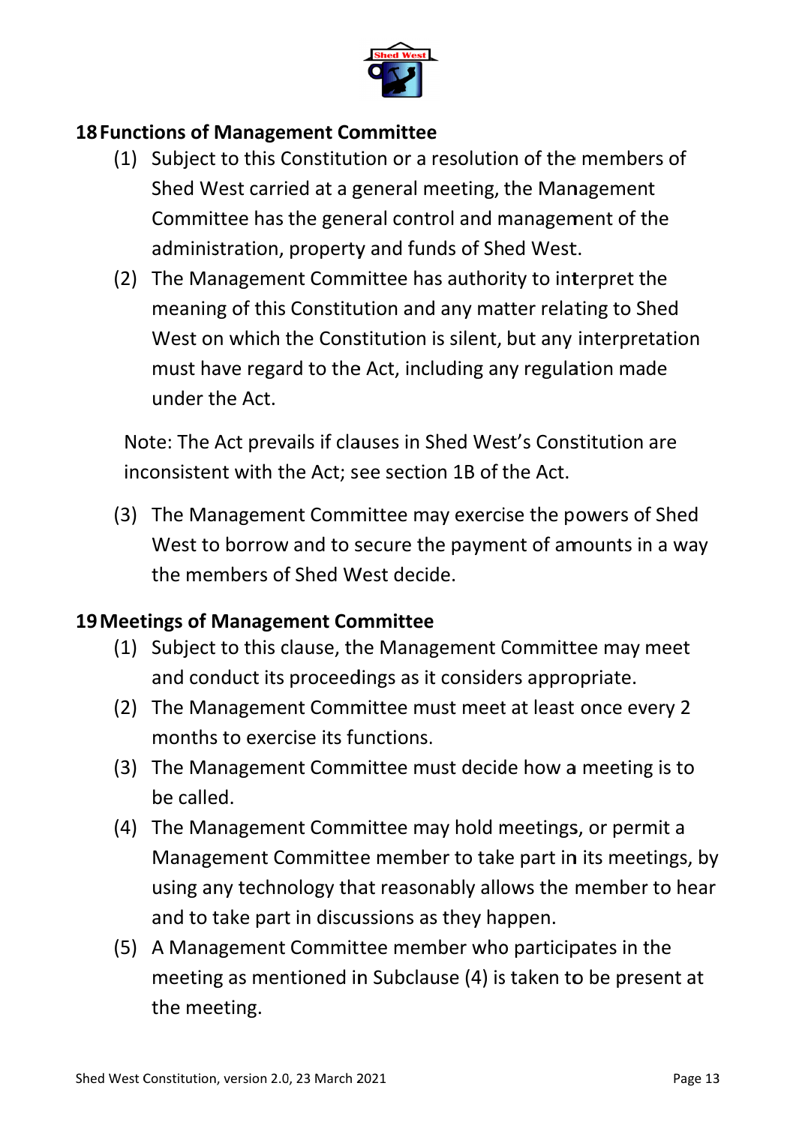

#### **18 Functions of Management Committee**

- (1) Subject to this Constitution or a resolution of the members of Shed West carried at a general meeting, the Management Committee has the general control and management of the administration, property and funds of Shed West.
- (2) The Management Committee has authority to interpret the meaning of this Constitution and any matter relating to Shed West on which the Constitution is silent, but any interpretation must have regard to the Act, including any regulation made under the Act.

Note: The Act prevails if clauses in Shed West's Constitution are inconsistent with the Act; see section 1B of the Act.

(3) The Management Committee may exercise the powers of Shed West to borrow and to secure the payment of amounts in a way the members of Shed West decide.

#### **19 Meetings of Management Committee**

- (1) Subject to this clause, the Management Committee may meet and conduct its proceedings as it considers appropriate.
- (2) The Management Committee must meet at least once every 2 months to exercise its functions.
- (3) The Management Committee must decide how a meeting is to be called.
- (4) The Management Committee may hold meetings, or permit a Management Committee member to take part in its meetings, by using any technology that reasonably allows the member to hear and to take part in discussions as they happen.
- (5) A Management Committee member who participates in the meeting as mentioned in Subclause (4) is taken to be present at the meeting.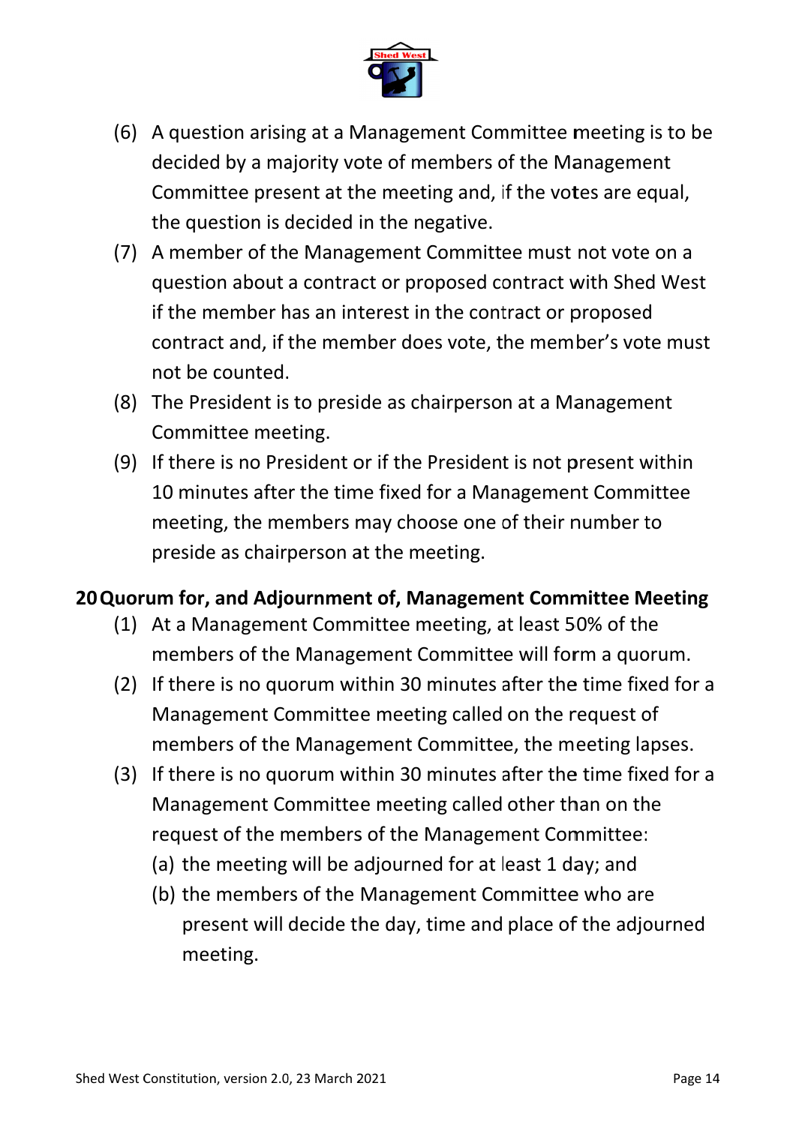

- (6) A question arising at a Management Committee meeting is to be decided by a majority vote of members of the Management Committee present at the meeting and, if the votes are equal, the question is decided in the negative.
- (7) A member of the Management Committee must not vote on a question about a contract or proposed contract with Shed West if the member has an interest in the contract or proposed if the member has an interest in the contract or proposed<br>contract and, if the member does vote, the member's vote must not be c counted.
- not be counted.<br>(8) The President is to preside as chairperson at a Management Committee meeting.
- (9) If there is no President or if the President is not present within 10 minutes after the time fixed for a Management Committee meeting, the members may choose one of their number to preside as chairperson at the meeting.

# **20 Quorum for, and Adjournment of, Management Committee Meeting**

- (1) At a Management Committee meeting, at least 50% of the members of the Management Committee will form a quorum.
- (2) If there is no quorum within 30 minutes after the time fixed for a Management Committee meeting called on the request of members of the Management Committee, the meeting lapses.
- (3) If there is no quorum within 30 minutes after the time fixed for a Management Committee meeting called other than on the request of the members of the Management Committee: :<br>e
	- (a) the meeting will be adjourned for at least 1 day; and
	- (b) the members of the Management Committee who are present will decide the day, time and place of the adjourned meeting.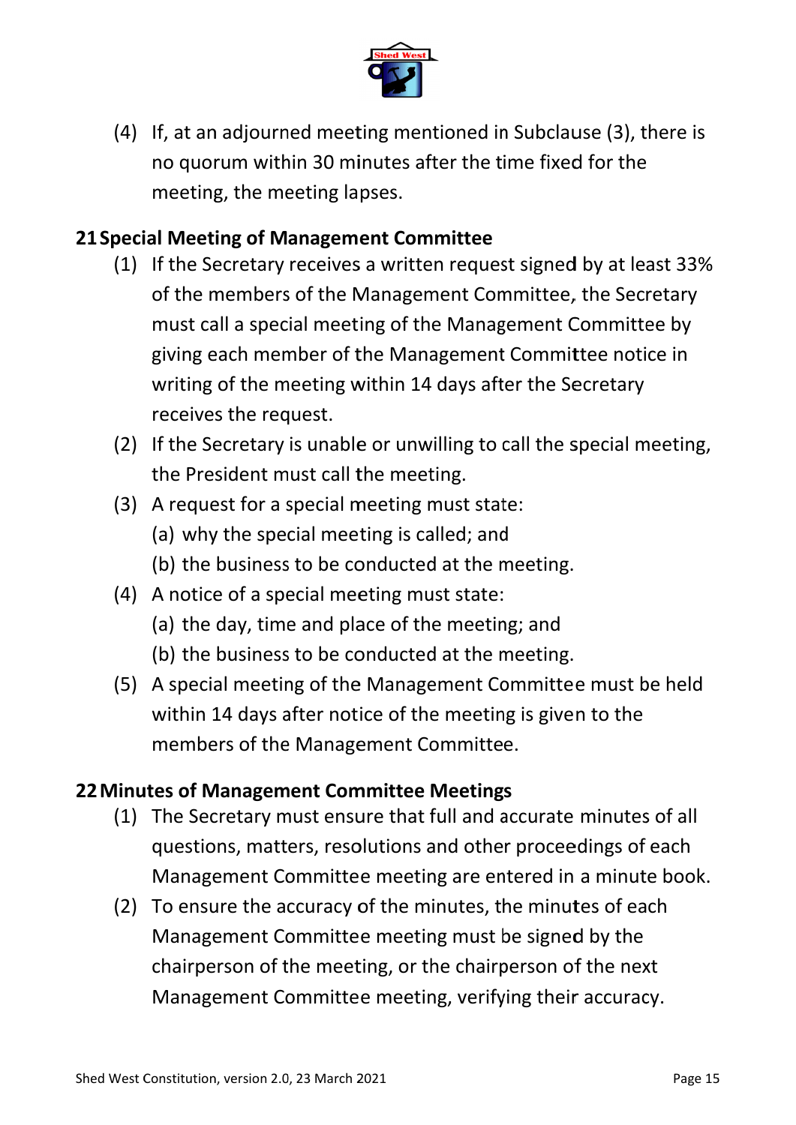

(4) If, at an adjourned meeting mentioned in Subclause (3), there is no quorum within 30 minutes after the time fixed for the meeting, the meeting lapses.

#### 21 Special Meeting of Management Committee

- (1) If the Secretary receives a written request signed by at least 33% of the members of the Management Committee, the Secretary must call a special meeting of the Management Committee by giving each member of the Management Committee notice in writing of the meeting within 14 days after the Secretary receives the request.
- (2) If the Secretary is unable or unwilling to call the special meeting, the President must call the meeting.
- (3) A request for a special meeting must state:
	- (a) why the special meeting is called; and
	- (b) the business to be conducted at the meeting.
- (4) A notice of a special meeting must state:
	- (a) the day, time and place of the meeting; and
	- (b) the business to be conducted at the meeting.
- (5) A special meeting of the Management Committee must be held within 14 days after notice of the meeting is given to the members of the Management Committee.

#### 22 Minutes of Management Committee Meetings

- (1) The Secretary must ensure that full and accurate minutes of all questions, matters, resolutions and other proceedings of each Management Committee meeting are entered in a minute book.
- (2) To ensure the accuracy of the minutes, the minutes of each Management Committee meeting must be signed by the chairperson of the meeting, or the chairperson of the next Management Committee meeting, verifying their accuracy.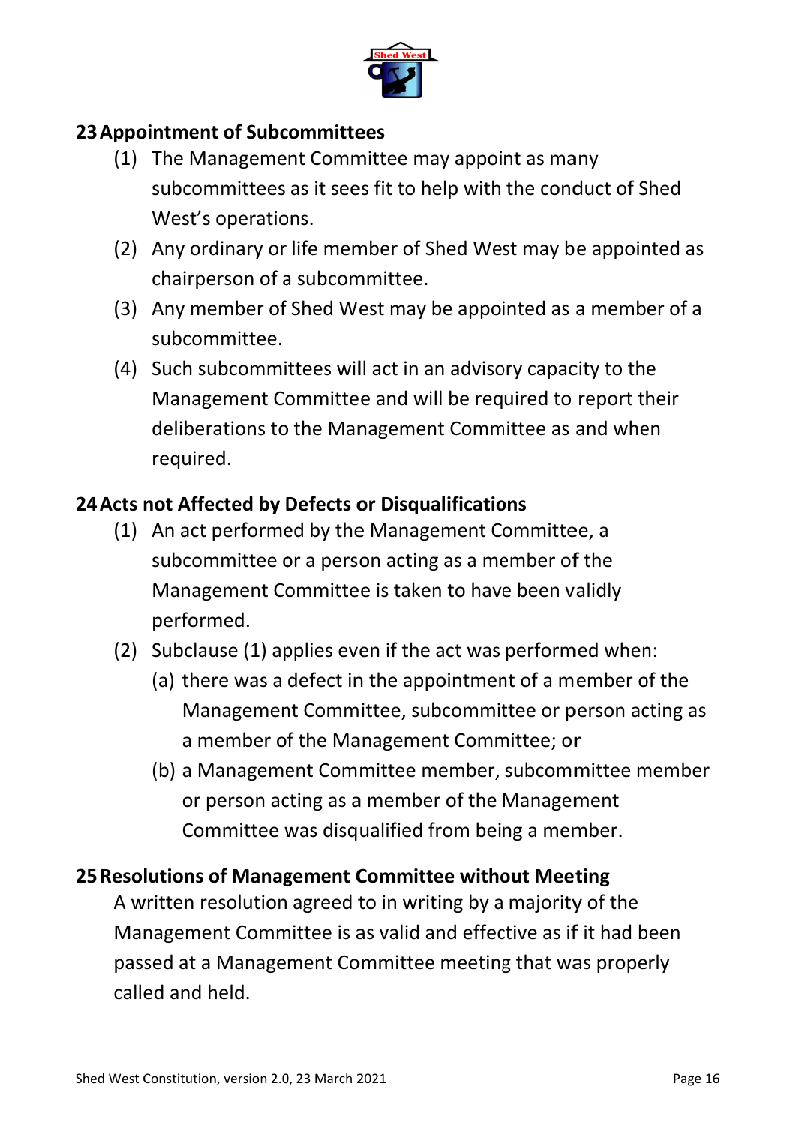

# 23 Appointment of Subcommittees

- (1) The Management Committee may appoint as many subcommittees as it sees fit to help with the conduct of Shed West's operations.
- (2) Any ordinary or life member of Shed West may be appointed as chairperson of a subcommittee.
- (3) Any member of Shed West may be appointed as a member of a subcommittee.
- (4) Such subcommittees will act in an advisory capacity to the Management Committee and will be required to report their deliberations to the Management Committee as and when required.

#### 24 Acts not Affected by Defects or Disqualifications

- (1) An act performed by the Management Committee, a subcommittee or a person acting as a member of the Management Committee is taken to have been validly performed.
- (2) Subclause (1) applies even if the act was performed when:
	- (a) there was a defect in the appointment of a member of the Management Committee, subcommittee or person acting as a member of the Management Committee; or
	- (b) a Management Committee member, subcommittee member or person acting as a member of the Management Committee was disqualified from being a member.

#### 25 Resolutions of Management Committee without Meeting

A written resolution agreed to in writing by a majority of the Management Committee is as valid and effective as if it had been passed at a Management Committee meeting that was properly called and held.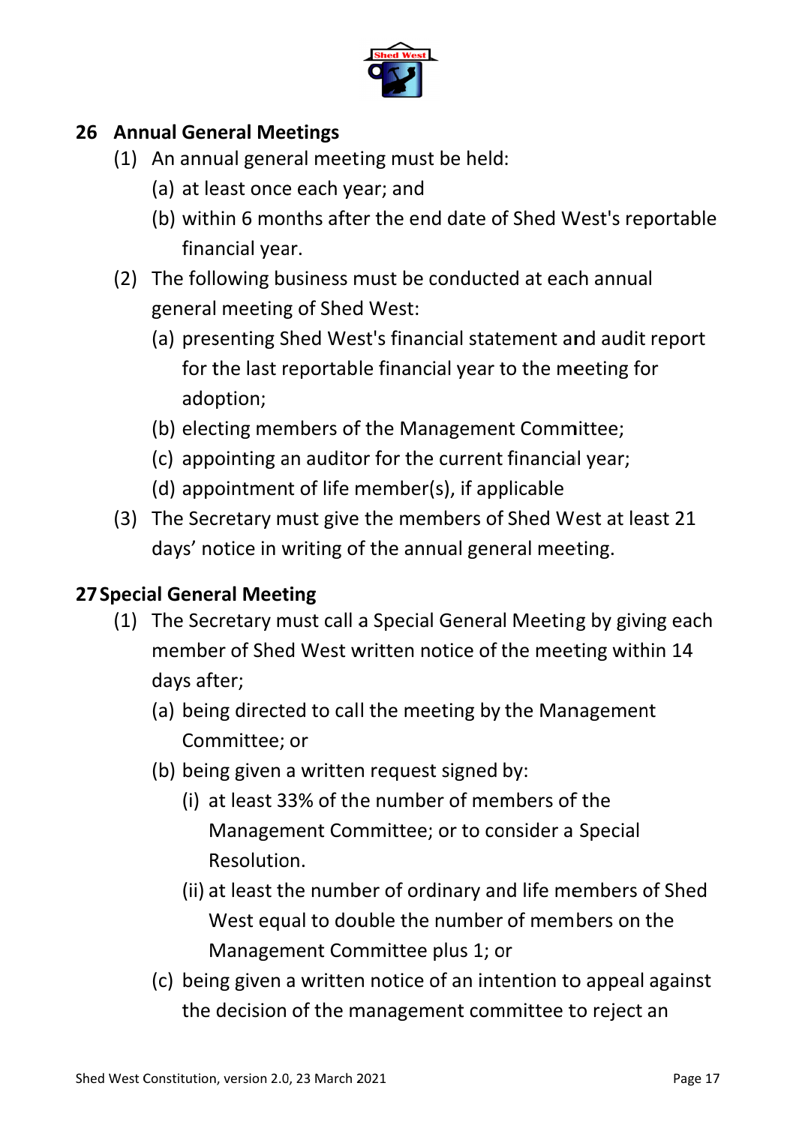

# **26 Ann nual Gen neral Mee etings**

- (1) An annual general meeting must be held:
	- (a) at least once each year; and
	- (b) within 6 months after the end date of Shed West's reportable financial year.
- (2) The following business must be conducted at each annual general meeting of Shed West:
	- (a) presenting Shed West's financial statement and audit report for the last reportable financial year to the meeting for ado ption;
	- (b) electing members of the Management Committee;
	- (c) appointing an auditor for the current financial year;
	- (d) appointment of life member(s), if applicable
- (3) The Secretary must give the members of Shed West at least 21 days' notice in writing of the annual general meeting.

# **27Speci ial Gener ral Meet ting**

- (1) The Secretary must call a Special General Meeting by giving each member of Shed West written notice of the meeting within 14 days aft ter;
	- (a) being directed to call the meeting by the Management Committee; or
	- (b) being given a written request signed by:
		- (i) at least 33% of the number of members of the Management Committee; or to consider a Special Resolution.
		- (ii) at least the number of ordinary and life members of Shed West equal to double the number of members on the Management Committee plus 1; or
	- (c) being given a written notice of an intention to appeal against the decision of the management committee to reject an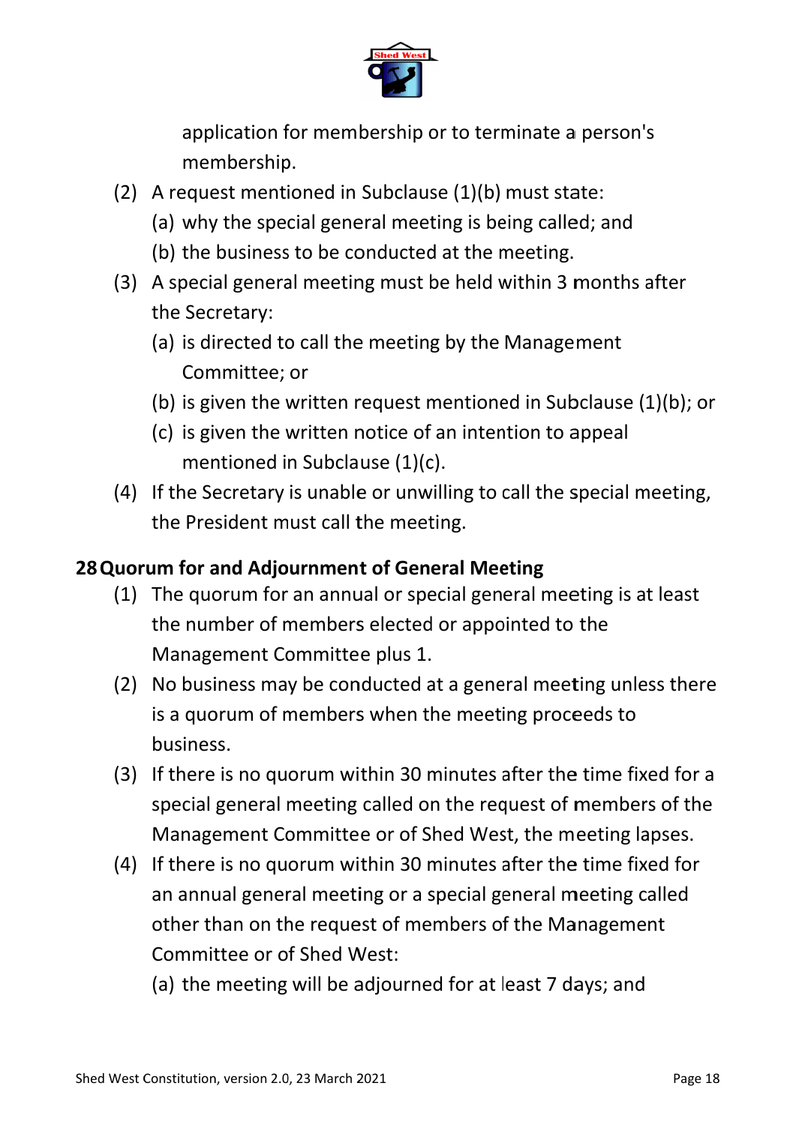

application for membership or to terminate a person's membership.

- (2) A request mentioned in Subclause  $(1)(b)$  must state:
	- (a) why the special general meeting is being called; and
	- (b) the business to be conducted at the meeting.
- (3) A special general meeting must be held within 3 months after the Secretary:
	- (a) is directed to call the meeting by the Management Committee: or
	- (b) is given the written request mentioned in Subclause  $(1)(b)$ ; or
	- (c) is given the written notice of an intention to appeal mentioned in Subclause (1)(c).
- (4) If the Secretary is unable or unwilling to call the special meeting, the President must call the meeting.

# 28 Quorum for and Adjournment of General Meeting

- (1) The quorum for an annual or special general meeting is at least the number of members elected or appointed to the Management Committee plus 1.
- (2) No business may be conducted at a general meeting unless there is a quorum of members when the meeting proceeds to business.
- (3) If there is no quorum within 30 minutes after the time fixed for a special general meeting called on the request of members of the Management Committee or of Shed West, the meeting lapses.
- (4) If there is no quorum within 30 minutes after the time fixed for an annual general meeting or a special general meeting called other than on the request of members of the Management Committee or of Shed West:
	- (a) the meeting will be adjourned for at least 7 days; and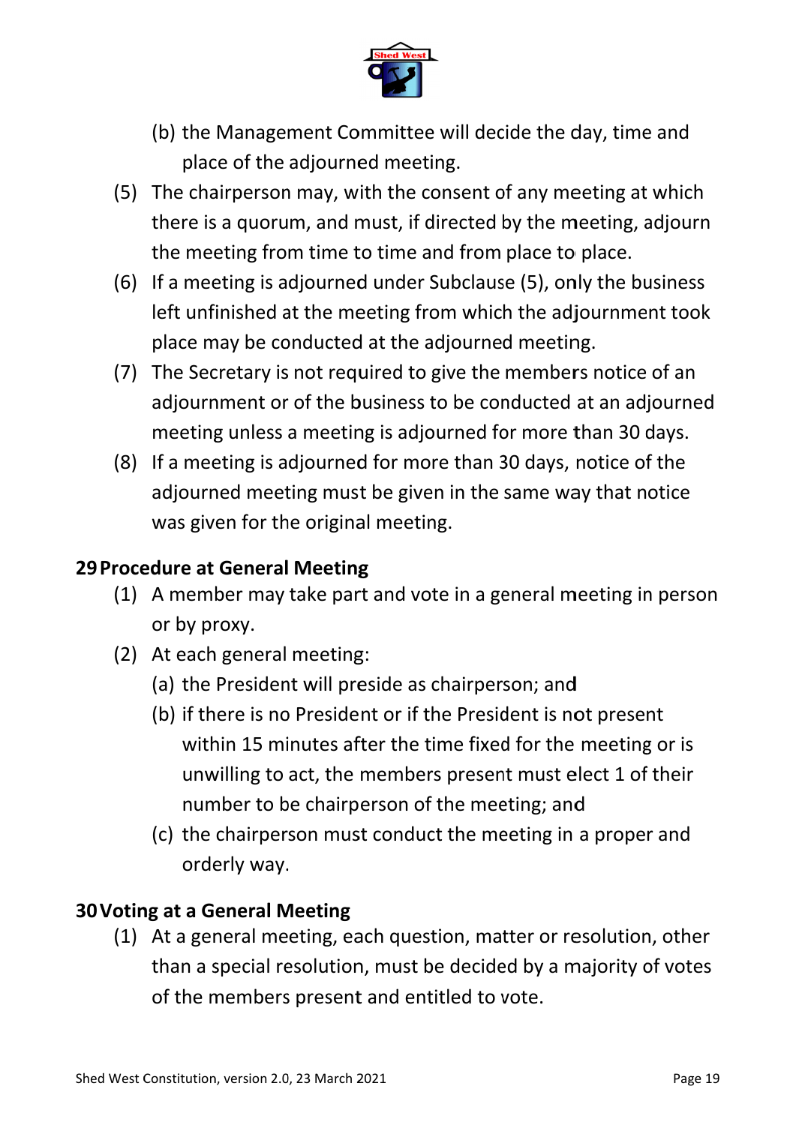

- (b) the Management Committee will decide the day, time and place of the adjourned meeting.
- (5) The chairperson may, with the consent of any meeting at which there is a quorum, and must, if directed by the meeting, adjourn the meeting from time to time and from place to place.
- (6) If a meeting is adjourned under Subclause (5), only the business left unfinished at the meeting from which the adjournment took place may be conducted at the adjourned meeting.
- (7) The Secretary is not required to give the members notice of an adjournment or of the business to be conducted at an adjourned meeting unless a meeting is adjourned for more than 30 days.
- (8) If a meeting is adjourned for more than 30 days, notice of the adjourned meeting must be given in the same way that notice was given for the original meeting.

#### 29 Procedure at General Meeting

- (1) A member may take part and vote in a general meeting in person or by proxy.
- (2) At each general meeting:
	- (a) the President will preside as chairperson; and
	- (b) if there is no President or if the President is not present within 15 minutes after the time fixed for the meeting or is unwilling to act, the members present must elect 1 of their number to be chairperson of the meeting; and
	- (c) the chairperson must conduct the meeting in a proper and orderly way.

#### **30 Voting at a General Meeting**

(1) At a general meeting, each question, matter or resolution, other than a special resolution, must be decided by a majority of votes of the members present and entitled to vote.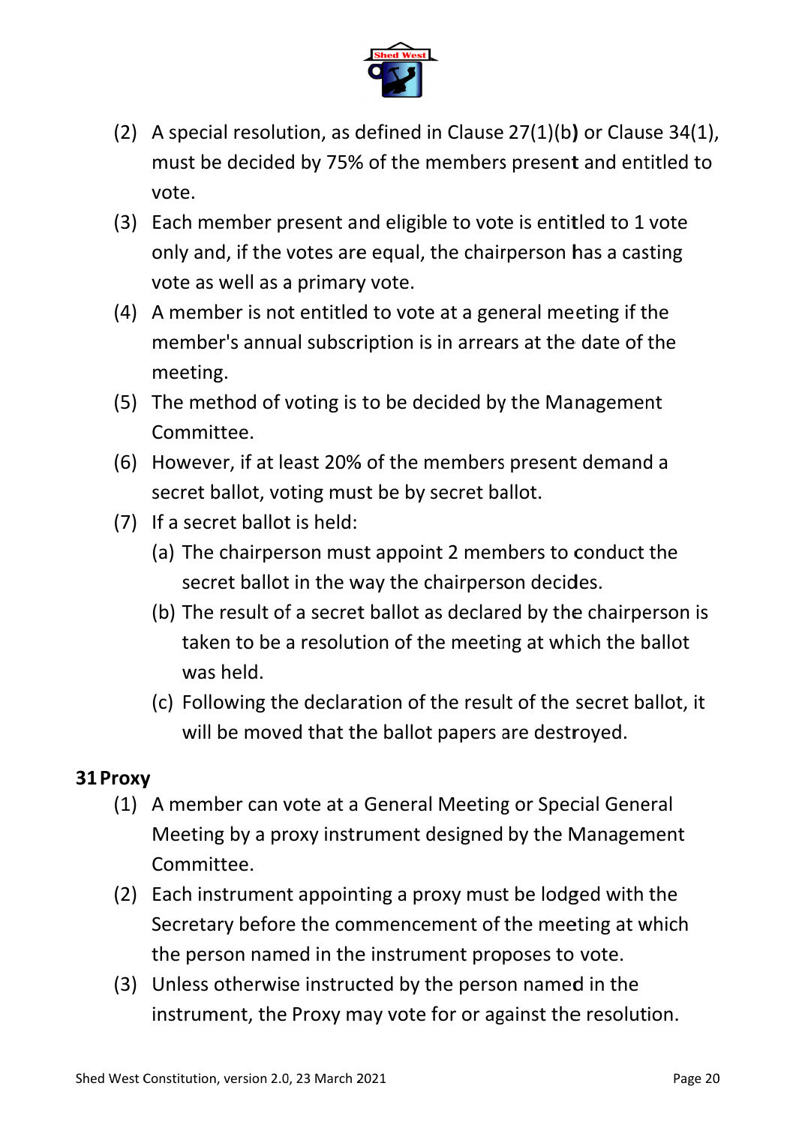

- (2) A special resolution, as defined in Clause  $27(1)(b)$  or Clause  $34(1)$ , must be decided by 75% of the members present and entitled to vote.
- (3) Each member present and eligible to vote is entitled to 1 vote only and, if the votes are equal, the chairperson has a casting vote as well as a primary vote.
- (4) A member is not entitled to vote at a general meeting if the member's annual subscription is in arrears at the date of the meeting.
- (5) The method of voting is to be decided by the Management Committee.
- (6) However, if at least 20% of the members present demand a secret ballot, voting must be by secret ballot.
- (7) If a secret ballot is held:
	- (a) The chairperson must appoint 2 members to conduct the secret ballot in the way the chairperson decides.
	- (b) The result of a secret ballot as declared by the chairperson is taken to be a resolution of the meeting at which the ballot was held.
	- (c) Following the declaration of the result of the secret ballot, it will be moved that the ballot papers are destroyed.

#### **31Proxy y**

- (1) A member can vote at a General Meeting or Special General Meeting by a proxy instrument designed by the Management Committee.
- (2) Each instrument appointing a proxy must be lodged with the Secretary before the commencement of the meeting at which the person named in the instrument proposes to vote.
- (3) Unless otherwise instructed by the person named in the instrument, the Proxy may vote for or against the resolution.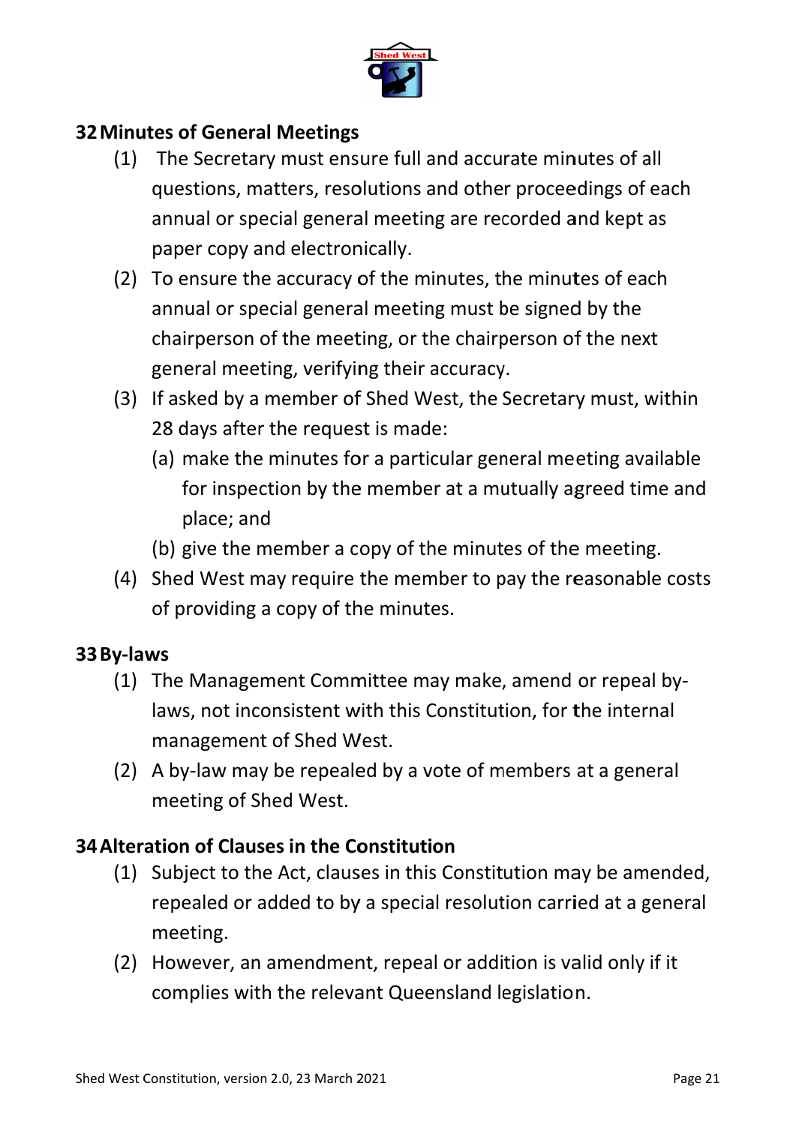

#### **32 Minutes of General Meetings**

- (1) The Secretary must ensure full and accurate minutes of all questions, matters, resolutions and other proceedings of each annual or special general meeting are recorded and kept as paper copy and electronically.
- (2) To ensure the accuracy of the minutes, the minutes of each annual or special general meeting must be signed by the chairperson of the meeting, or the chairperson of the next general meeting, verifying their accuracy.
- (3) If asked by a member of Shed West, the Secretary must, within 28 days after the request is made:
	- (a) make the minutes for a particular general meeting available for inspection by the member at a mutually agreed time and place; and
	- (b) give the member a copy of the minutes of the meeting.
- (4) Shed West may require the member to pay the reasonable costs of providing a copy of the minutes.

#### 33 By-laws

- (1) The Management Committee may make, amend or repeal bylaws, not inconsistent with this Constitution, for the internal management of Shed West.
- (2) A by-law may be repealed by a vote of members at a general meeting of Shed West.

#### 34 Alteration of Clauses in the Constitution

- (1) Subject to the Act, clauses in this Constitution may be amended, repealed or added to by a special resolution carried at a general meeting.
- (2) However, an amendment, repeal or addition is valid only if it complies with the relevant Queensland legislation.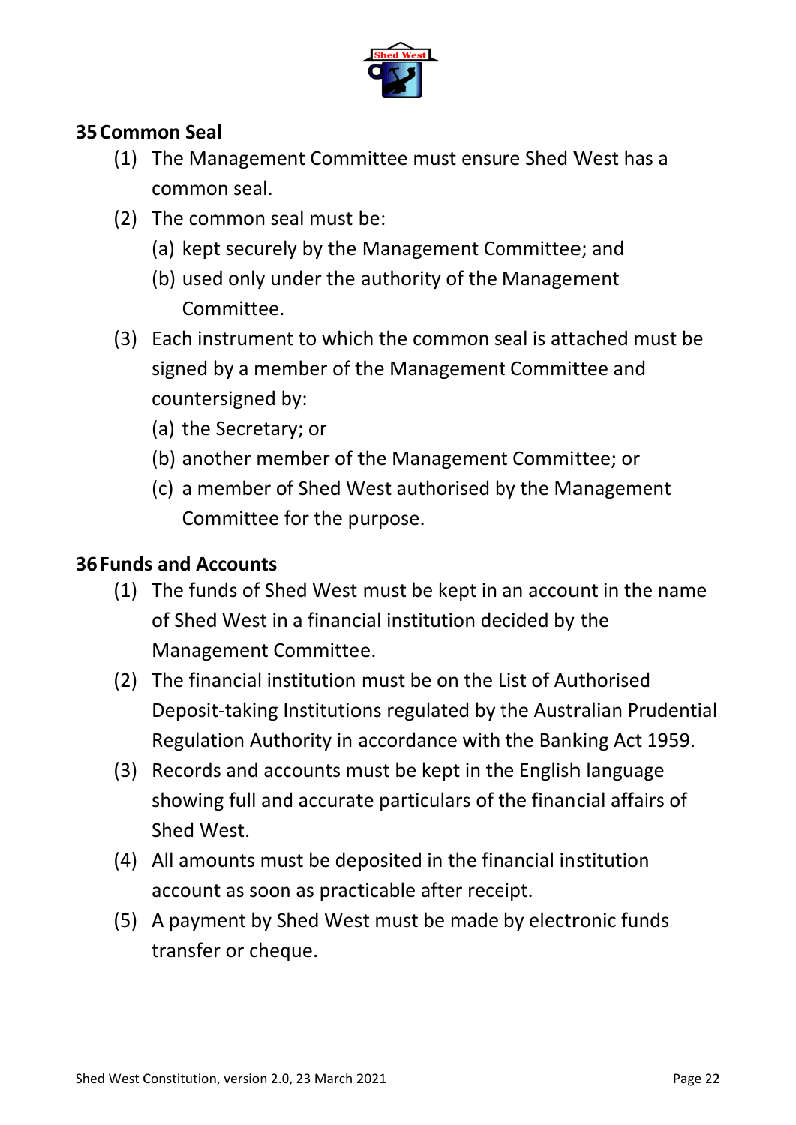

# 35 Common Seal

- (1) The Management Committee must ensure Shed West has a common seal.
- (2) The common seal must be:
	- (a) kept securely by the Management Committee; and
	- (b) used only under the authority of the Management Committee.
- (3) Each instrument to which the common seal is attached must be signed by a member of the Management Committee and countersigned by:
	- (a) the Secretary; or
	- (b) another member of the Management Committee; or
	- (c) a member of Shed West authorised by the Management Committee for the purpose.

#### **36 Funds and Accounts**

- (1) The funds of Shed West must be kept in an account in the name of Shed West in a financial institution decided by the Management Committee.
- (2) The financial institution must be on the List of Authorised Deposit-taking Institutions regulated by the Australian Prudential Regulation Authority in accordance with the Banking Act 1959.
- (3) Records and accounts must be kept in the English language showing full and accurate particulars of the financial affairs of Shed West.
- (4) All amounts must be deposited in the financial institution account as soon as practicable after receipt.
- (5) A payment by Shed West must be made by electronic funds transfer or cheque.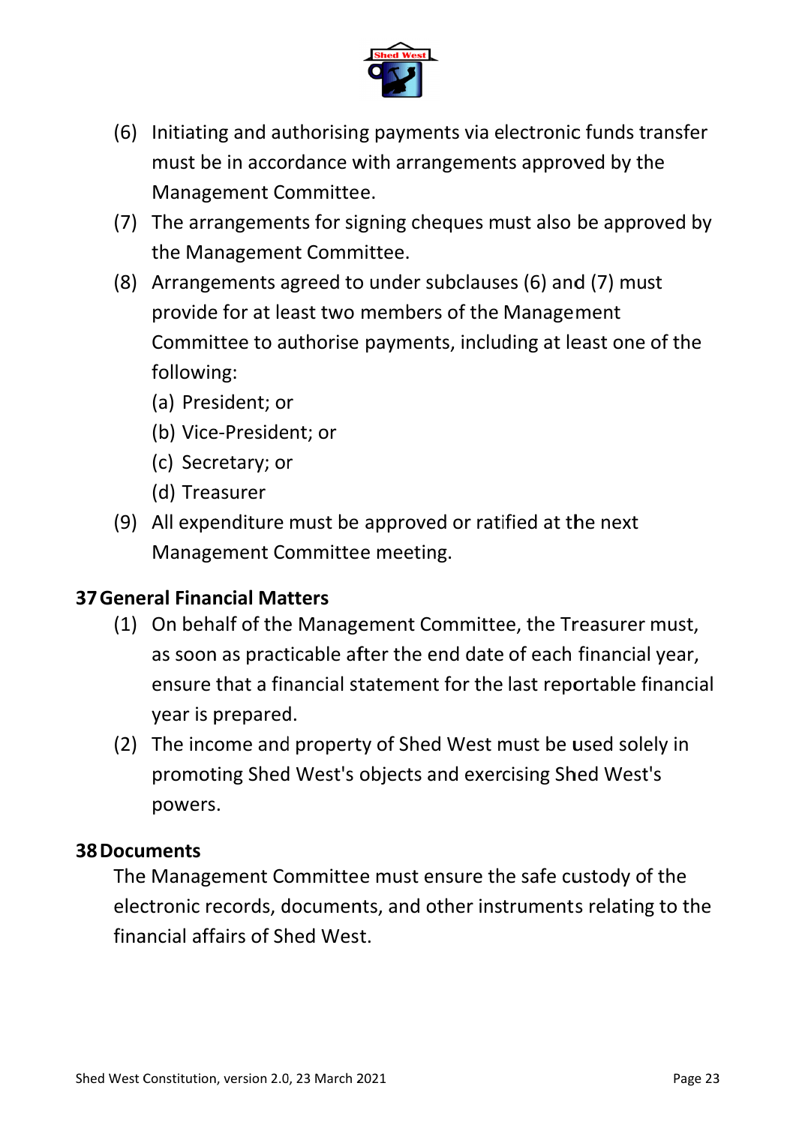

- (6) Initiating and authorising payments via electronic funds transfer must be in accordance with arrangements approved by the Management Committee.
- (7) The arrangements for signing cheques must also be approved by the Management Committee.
- (8) Arrangements agreed to under subclauses (6) and (7) must provide for at least two members of the Management Committee to authorise payments, including at least one of the following:
	- (a) President: or
	- (b) Vice-President; or
	- (c) Secretary; or
	- (d) Treasurer
- (9) All expenditure must be approved or ratified at the next Management Committee meeting.

#### **37 General Financial Matters**

- (1) On behalf of the Management Committee, the Treasurer must, as soon as practicable after the end date of each financial year, ensure that a financial statement for the last reportable financial year is prepared.
- (2) The income and property of Shed West must be used solely in promoting Shed West's objects and exercising Shed West's powers.

#### **38 Documents**

The Management Committee must ensure the safe custody of the electronic records, documents, and other instruments relating to the financial affairs of Shed West.